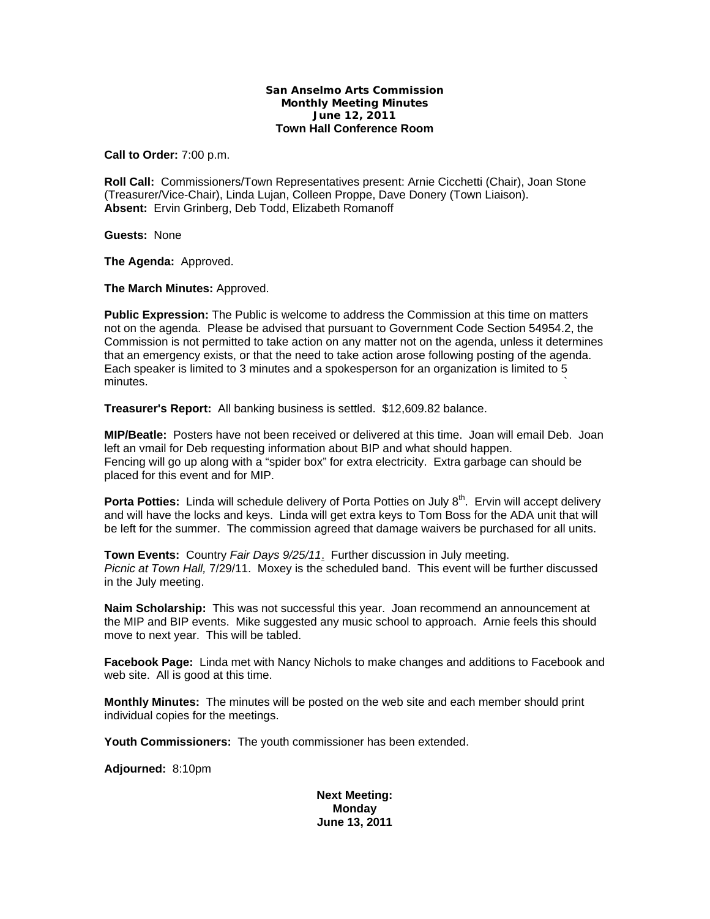## **San Anselmo Arts Commission Monthly Meeting Minutes June 12, 2011 Town Hall Conference Room**

**Call to Order:** 7:00 p.m.

**Roll Call:** Commissioners/Town Representatives present: Arnie Cicchetti (Chair), Joan Stone (Treasurer/Vice-Chair), Linda Lujan, Colleen Proppe, Dave Donery (Town Liaison). **Absent:** Ervin Grinberg, Deb Todd, Elizabeth Romanoff

**Guests:** None

**The Agenda:** Approved.

**The March Minutes:** Approved.

**Public Expression:** The Public is welcome to address the Commission at this time on matters not on the agenda. Please be advised that pursuant to Government Code Section 54954.2, the Commission is not permitted to take action on any matter not on the agenda, unless it determines that an emergency exists, or that the need to take action arose following posting of the agenda. Each speaker is limited to 3 minutes and a spokesperson for an organization is limited to 5  $m$ inutes.  $\sim$ 

**Treasurer's Report:** All banking business is settled. \$12,609.82 balance.

**MIP/Beatle:** Posters have not been received or delivered at this time. Joan will email Deb. Joan left an vmail for Deb requesting information about BIP and what should happen. Fencing will go up along with a "spider box" for extra electricity. Extra garbage can should be placed for this event and for MIP.

**Porta Potties:** Linda will schedule delivery of Porta Potties on July 8<sup>th</sup>. Ervin will accept delivery and will have the locks and keys. Linda will get extra keys to Tom Boss for the ADA unit that will be left for the summer. The commission agreed that damage waivers be purchased for all units.

**Town Events:** Country *Fair Days 9/25/11*. Further discussion in July meeting. *Picnic at Town Hall,* 7/29/11. Moxey is the scheduled band. This event will be further discussed in the July meeting.

**Naim Scholarship:** This was not successful this year. Joan recommend an announcement at the MIP and BIP events. Mike suggested any music school to approach. Arnie feels this should move to next year. This will be tabled.

**Facebook Page:** Linda met with Nancy Nichols to make changes and additions to Facebook and web site. All is good at this time.

**Monthly Minutes:** The minutes will be posted on the web site and each member should print individual copies for the meetings.

**Youth Commissioners:** The youth commissioner has been extended.

**Adjourned:** 8:10pm

**Next Meeting: Monday June 13, 2011**